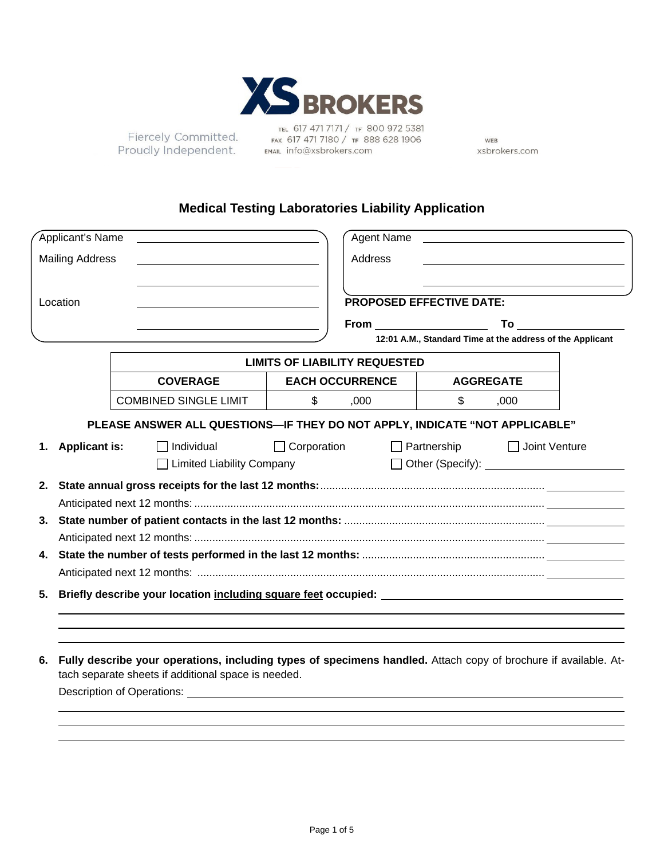

Fiercely Committed. Proudly Independent.

TEL 617 471 7171 / TF 800 972 5381 FAX 617 471 7180 / TF 888 628 1906 EMAIL info@xsbrokers.com

WEB xsbrokers.com

# **Medical Testing Laboratories Liability Application**

|    | Applicant's Name       |  |                                                                                                                                                                                                                                |                    | Agent Name                           |                    |                  |                                                           |
|----|------------------------|--|--------------------------------------------------------------------------------------------------------------------------------------------------------------------------------------------------------------------------------|--------------------|--------------------------------------|--------------------|------------------|-----------------------------------------------------------|
|    | <b>Mailing Address</b> |  |                                                                                                                                                                                                                                | Address            |                                      |                    |                  |                                                           |
|    |                        |  |                                                                                                                                                                                                                                |                    |                                      |                    |                  |                                                           |
|    | Location               |  |                                                                                                                                                                                                                                |                    | <b>PROPOSED EFFECTIVE DATE:</b>      |                    |                  |                                                           |
|    |                        |  |                                                                                                                                                                                                                                |                    | From $\sqrt{2\pi r}$                 |                    |                  |                                                           |
|    |                        |  |                                                                                                                                                                                                                                |                    |                                      |                    |                  | 12:01 A.M., Standard Time at the address of the Applicant |
|    |                        |  |                                                                                                                                                                                                                                |                    | <b>LIMITS OF LIABILITY REQUESTED</b> |                    |                  |                                                           |
|    |                        |  | <b>COVERAGE</b>                                                                                                                                                                                                                |                    | <b>EACH OCCURRENCE</b>               |                    | <b>AGGREGATE</b> |                                                           |
|    |                        |  | <b>COMBINED SINGLE LIMIT</b>                                                                                                                                                                                                   | \$                 | ,000                                 | \$                 | ,000             |                                                           |
|    |                        |  | PLEASE ANSWER ALL QUESTIONS-IF THEY DO NOT APPLY, INDICATE "NOT APPLICABLE"                                                                                                                                                    |                    |                                      |                    |                  |                                                           |
| 1. | <b>Applicant is:</b>   |  | $\Box$ Individual<br>□ Limited Liability Company                                                                                                                                                                               | $\Box$ Corporation |                                      | $\Box$ Partnership |                  | $\Box$ Joint Venture                                      |
|    |                        |  |                                                                                                                                                                                                                                |                    |                                      |                    |                  |                                                           |
|    |                        |  |                                                                                                                                                                                                                                |                    |                                      |                    |                  |                                                           |
|    |                        |  |                                                                                                                                                                                                                                |                    |                                      |                    |                  |                                                           |
|    |                        |  |                                                                                                                                                                                                                                |                    |                                      |                    |                  |                                                           |
| 5. |                        |  |                                                                                                                                                                                                                                |                    |                                      |                    |                  |                                                           |
|    |                        |  |                                                                                                                                                                                                                                |                    |                                      |                    |                  |                                                           |
|    |                        |  |                                                                                                                                                                                                                                |                    |                                      |                    |                  |                                                           |
| 6. |                        |  | Fully describe your operations, including types of specimens handled. Attach copy of brochure if available. At-<br>tach separate sheets if additional space is needed.                                                         |                    |                                      |                    |                  |                                                           |
|    |                        |  | Description of Operations: Letter and Control and Control of Control and Control of Control and Control of Control of Control of Control and Control of Control of Control of Control of Control of Control of Control of Cont |                    |                                      |                    |                  |                                                           |
|    |                        |  |                                                                                                                                                                                                                                |                    |                                      |                    |                  |                                                           |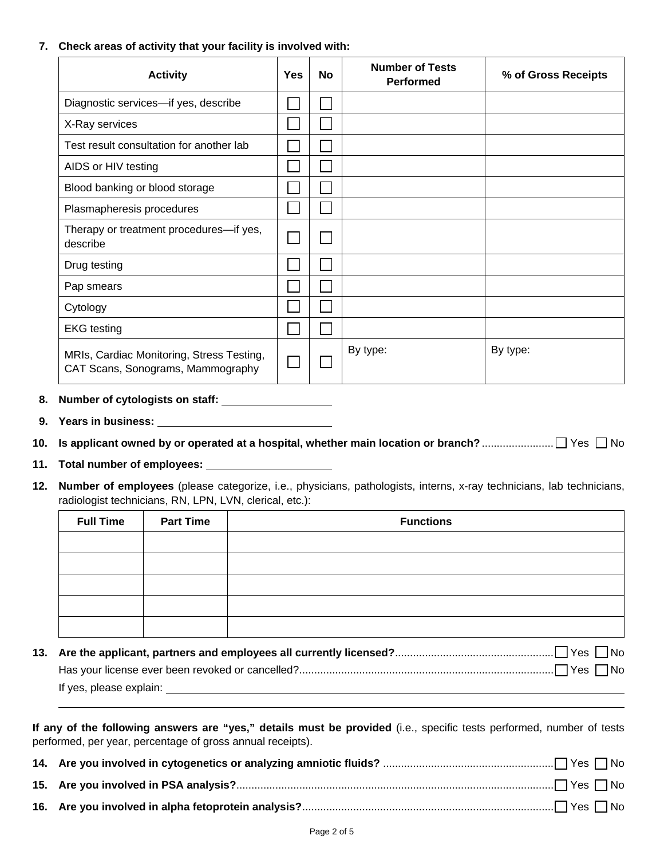## **7. Check areas of activity that your facility is involved with:**

| <b>Activity</b>                                                                | <b>Yes</b> | <b>No</b> | <b>Number of Tests</b><br><b>Performed</b> | % of Gross Receipts |
|--------------------------------------------------------------------------------|------------|-----------|--------------------------------------------|---------------------|
| Diagnostic services-if yes, describe                                           |            |           |                                            |                     |
| X-Ray services                                                                 |            |           |                                            |                     |
| Test result consultation for another lab                                       |            |           |                                            |                     |
| AIDS or HIV testing                                                            |            |           |                                            |                     |
| Blood banking or blood storage                                                 |            |           |                                            |                     |
| Plasmapheresis procedures                                                      |            |           |                                            |                     |
| Therapy or treatment procedures-if yes,<br>describe                            |            |           |                                            |                     |
| Drug testing                                                                   |            |           |                                            |                     |
| Pap smears                                                                     |            |           |                                            |                     |
| Cytology                                                                       |            |           |                                            |                     |
| <b>EKG</b> testing                                                             |            |           |                                            |                     |
| MRIs, Cardiac Monitoring, Stress Testing,<br>CAT Scans, Sonograms, Mammography |            |           | By type:                                   | By type:            |

- **8. Number of cytologists on staff:**
- **9. Years in business:**
- **10. Is applicant owned by or operated at a hospital, whether main location or branch?** ........................ Yes No
- **11. Total number of employees:**
- **12. Number of employees** (please categorize, i.e., physicians, pathologists, interns, x-ray technicians, lab technicians, radiologist technicians, RN, LPN, LVN, clerical, etc.):

| <b>Full Time</b> | <b>Part Time</b> | <b>Functions</b>                                                                                     |
|------------------|------------------|------------------------------------------------------------------------------------------------------|
|                  |                  |                                                                                                      |
|                  |                  |                                                                                                      |
|                  |                  |                                                                                                      |
|                  |                  |                                                                                                      |
|                  |                  |                                                                                                      |
|                  |                  | 13. Are the applicant, partners and employees all currently licensed?………………………………………………………………………………… |
|                  |                  |                                                                                                      |
|                  |                  |                                                                                                      |

If yes, please explain:

| If any of the following answers are "yes," details must be provided (i.e., specific tests performed, number of tests |  |  |  |
|----------------------------------------------------------------------------------------------------------------------|--|--|--|
| performed, per year, percentage of gross annual receipts).                                                           |  |  |  |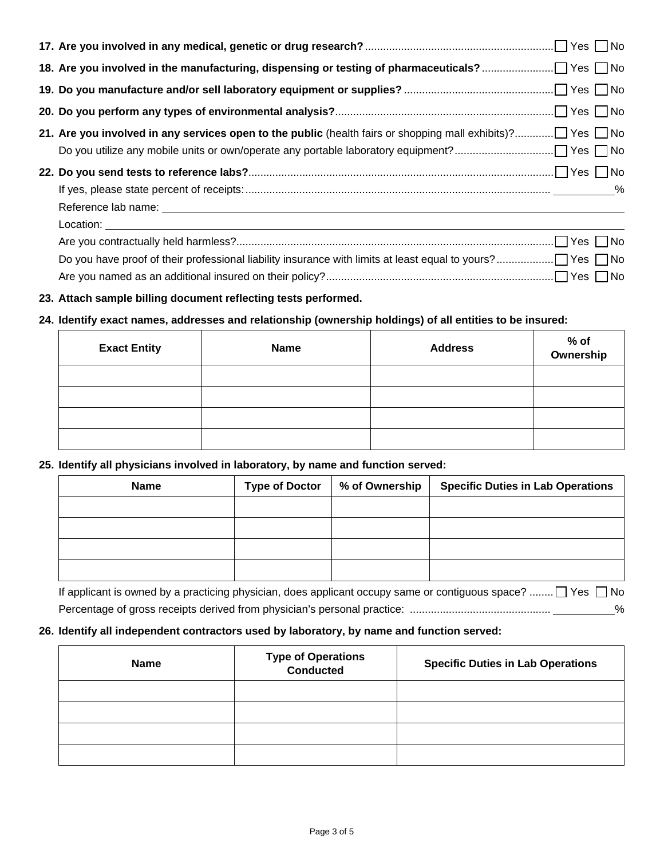**23. Attach sample billing document reflecting tests performed.** 

# **24. Identify exact names, addresses and relationship (ownership holdings) of all entities to be insured:**

| <b>Exact Entity</b> | <b>Name</b> | <b>Address</b> | % of<br>Ownership |
|---------------------|-------------|----------------|-------------------|
|                     |             |                |                   |
|                     |             |                |                   |
|                     |             |                |                   |
|                     |             |                |                   |

Are you named as an additional insured on their policy? ............................................................................ Yes No

## **25. Identify all physicians involved in laboratory, by name and function served:**

| <b>Name</b>                                                                                      | <b>Type of Doctor</b> | % of Ownership | <b>Specific Duties in Lab Operations</b> |
|--------------------------------------------------------------------------------------------------|-----------------------|----------------|------------------------------------------|
|                                                                                                  |                       |                |                                          |
|                                                                                                  |                       |                |                                          |
|                                                                                                  |                       |                |                                          |
|                                                                                                  |                       |                |                                          |
| If applicant is owned by a practicing physician, does applicant occupy same or contiguous space? |                       |                | ⊤Ves ∏No                                 |

If applicant is owned by a practicing physician, does applicant occupy same or contiguous space? ........  $\Box$  Yes  $\Box$  No Percentage of gross receipts derived from physician's personal practice: ............................................... %

## **26. Identify all independent contractors used by laboratory, by name and function served:**

| <b>Name</b> | <b>Type of Operations<br/>Conducted</b> | <b>Specific Duties in Lab Operations</b> |
|-------------|-----------------------------------------|------------------------------------------|
|             |                                         |                                          |
|             |                                         |                                          |
|             |                                         |                                          |
|             |                                         |                                          |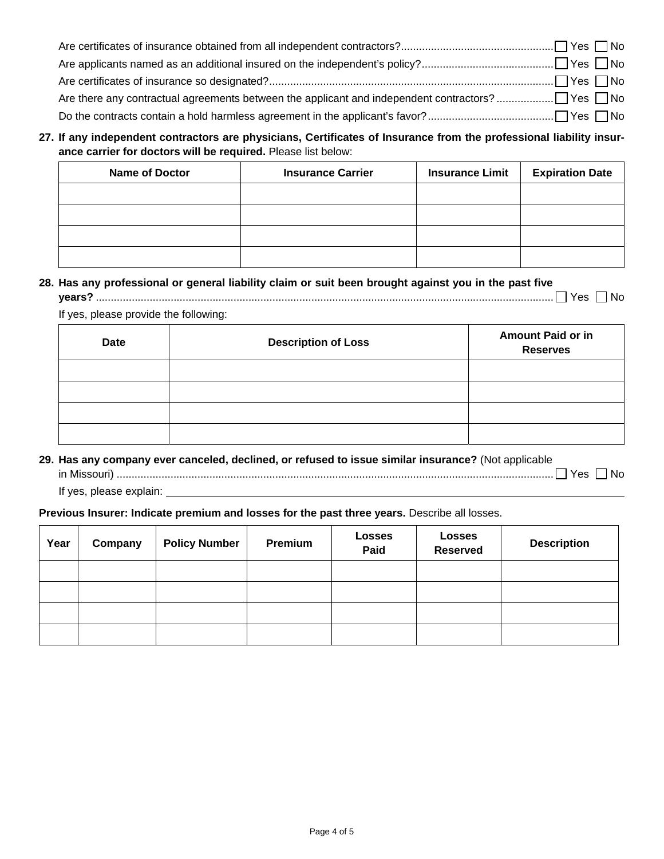**27. If any independent contractors are physicians, Certificates of Insurance from the professional liability insurance carrier for doctors will be required.** Please list below:

| <b>Name of Doctor</b> | <b>Insurance Carrier</b> | <b>Insurance Limit</b> | <b>Expiration Date</b> |
|-----------------------|--------------------------|------------------------|------------------------|
|                       |                          |                        |                        |
|                       |                          |                        |                        |
|                       |                          |                        |                        |
|                       |                          |                        |                        |

# **28. Has any professional or general liability claim or suit been brought against you in the past five**

If yes, please provide the following:

| <b>Date</b> | <b>Description of Loss</b> | <b>Amount Paid or in</b><br><b>Reserves</b> |
|-------------|----------------------------|---------------------------------------------|
|             |                            |                                             |
|             |                            |                                             |
|             |                            |                                             |
|             |                            |                                             |

## **29. Has any company ever canceled, declined, or refused to issue similar insurance?** (Not applicable

in Missouri) .................................................................................................................................................. Yes No

If yes, please explain:

## **Previous Insurer: Indicate premium and losses for the past three years.** Describe all losses.

| Year | Company | <b>Policy Number</b> | Premium | <b>Losses</b><br>Paid | <b>Losses</b><br><b>Reserved</b> | <b>Description</b> |
|------|---------|----------------------|---------|-----------------------|----------------------------------|--------------------|
|      |         |                      |         |                       |                                  |                    |
|      |         |                      |         |                       |                                  |                    |
|      |         |                      |         |                       |                                  |                    |
|      |         |                      |         |                       |                                  |                    |